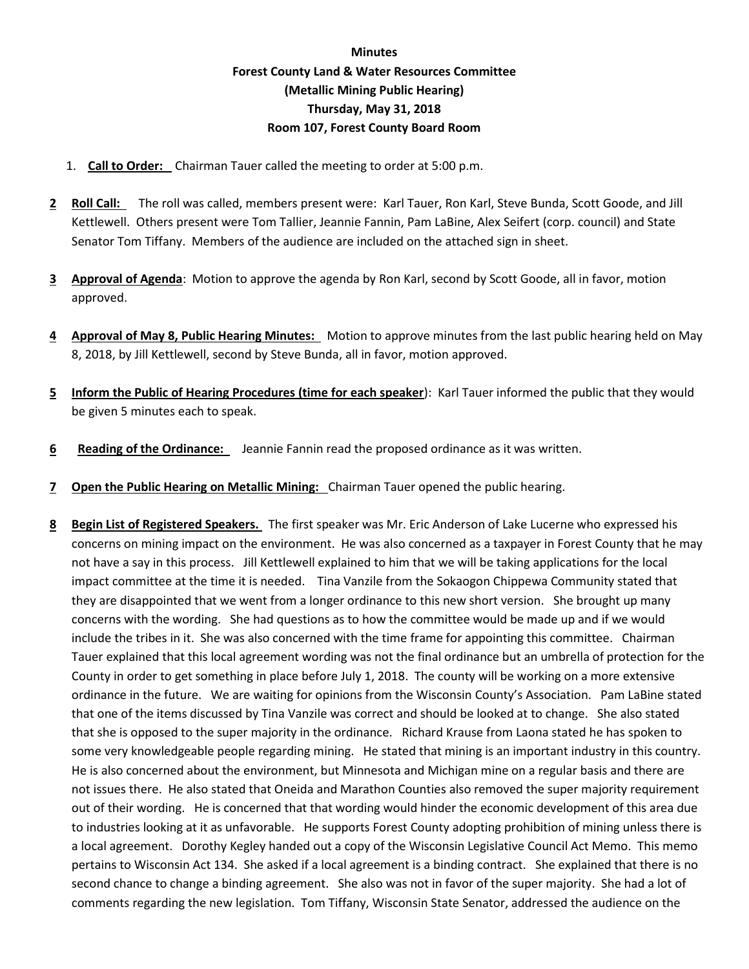## **Minutes Forest County Land & Water Resources Committee (Metallic Mining Public Hearing) Thursday, May 31, 2018 Room 107, Forest County Board Room**

- 1. **Call to Order:** Chairman Tauer called the meeting to order at 5:00 p.m.
- **2 Roll Call:** The roll was called, members present were: Karl Tauer, Ron Karl, Steve Bunda, Scott Goode, and Jill Kettlewell. Others present were Tom Tallier, Jeannie Fannin, Pam LaBine, Alex Seifert (corp. council) and State Senator Tom Tiffany. Members of the audience are included on the attached sign in sheet.
- **3 Approval of Agenda**: Motion to approve the agenda by Ron Karl, second by Scott Goode, all in favor, motion approved.
- **4 Approval of May 8, Public Hearing Minutes:** Motion to approve minutes from the last public hearing held on May 8, 2018, by Jill Kettlewell, second by Steve Bunda, all in favor, motion approved.
- **5 Inform the Public of Hearing Procedures (time for each speaker**): Karl Tauer informed the public that they would be given 5 minutes each to speak.
- **6 Reading of the Ordinance:** Jeannie Fannin read the proposed ordinance as it was written.
- **7 Open the Public Hearing on Metallic Mining:** Chairman Tauer opened the public hearing.
- **8 Begin List of Registered Speakers.** The first speaker was Mr. Eric Anderson of Lake Lucerne who expressed his concerns on mining impact on the environment. He was also concerned as a taxpayer in Forest County that he may not have a say in this process. Jill Kettlewell explained to him that we will be taking applications for the local impact committee at the time it is needed. Tina Vanzile from the Sokaogon Chippewa Community stated that they are disappointed that we went from a longer ordinance to this new short version. She brought up many concerns with the wording. She had questions as to how the committee would be made up and if we would include the tribes in it. She was also concerned with the time frame for appointing this committee. Chairman Tauer explained that this local agreement wording was not the final ordinance but an umbrella of protection for the County in order to get something in place before July 1, 2018. The county will be working on a more extensive ordinance in the future. We are waiting for opinions from the Wisconsin County's Association. Pam LaBine stated that one of the items discussed by Tina Vanzile was correct and should be looked at to change. She also stated that she is opposed to the super majority in the ordinance. Richard Krause from Laona stated he has spoken to some very knowledgeable people regarding mining. He stated that mining is an important industry in this country. He is also concerned about the environment, but Minnesota and Michigan mine on a regular basis and there are not issues there. He also stated that Oneida and Marathon Counties also removed the super majority requirement out of their wording. He is concerned that that wording would hinder the economic development of this area due to industries looking at it as unfavorable. He supports Forest County adopting prohibition of mining unless there is a local agreement. Dorothy Kegley handed out a copy of the Wisconsin Legislative Council Act Memo. This memo pertains to Wisconsin Act 134. She asked if a local agreement is a binding contract. She explained that there is no second chance to change a binding agreement. She also was not in favor of the super majority. She had a lot of comments regarding the new legislation. Tom Tiffany, Wisconsin State Senator, addressed the audience on the